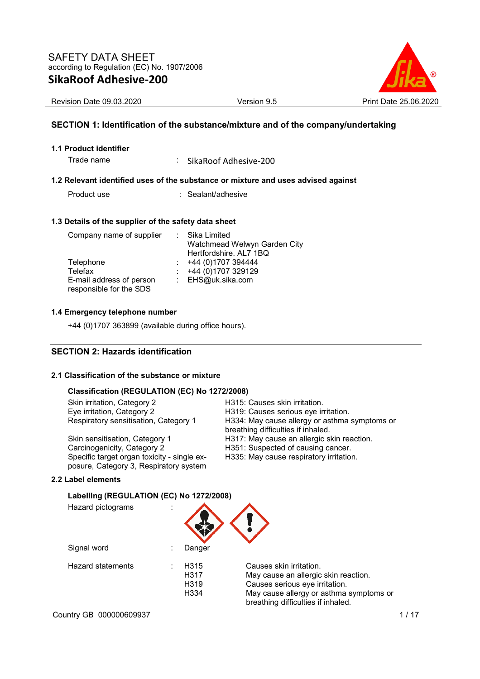

Revision Date 09.03.2020 <br>
Version 9.5 Print Date 25.06.2020

## **SECTION 1: Identification of the substance/mixture and of the company/undertaking**

#### **1.1 Product identifier**

Trade name : SikaRoof Adhesive-200

#### **1.2 Relevant identified uses of the substance or mixture and uses advised against**

Product use : Sealant/adhesive

#### **1.3 Details of the supplier of the safety data sheet**

| Company name of supplier                            | : Sika Limited<br>Watchmead Welwyn Garden City |
|-----------------------------------------------------|------------------------------------------------|
|                                                     | Hertfordshire. AL7 1BQ                         |
| Telephone                                           | $\div$ +44 (0)1707 394444                      |
| Telefax                                             | $\div$ +44 (0)1707 329129                      |
| E-mail address of person<br>responsible for the SDS | : EHS@uk.sika.com                              |

#### **1.4 Emergency telephone number**

+44 (0)1707 363899 (available during office hours).

## **SECTION 2: Hazards identification**

#### **2.1 Classification of the substance or mixture**

#### **Classification (REGULATION (EC) No 1272/2008)**

| Skin irritation, Category 2                                                           | H315: Causes skin irritation.                                                       |
|---------------------------------------------------------------------------------------|-------------------------------------------------------------------------------------|
| Eye irritation, Category 2                                                            | H319: Causes serious eye irritation.                                                |
| Respiratory sensitisation, Category 1                                                 | H334: May cause allergy or asthma symptoms or<br>breathing difficulties if inhaled. |
| Skin sensitisation, Category 1                                                        | H317: May cause an allergic skin reaction.                                          |
| Carcinogenicity, Category 2                                                           | H351: Suspected of causing cancer.                                                  |
| Specific target organ toxicity - single ex-<br>posure, Category 3, Respiratory system | H335: May cause respiratory irritation.                                             |

#### **2.2 Label elements**

#### **Labelling (REGULATION (EC) No 1272/2008)**

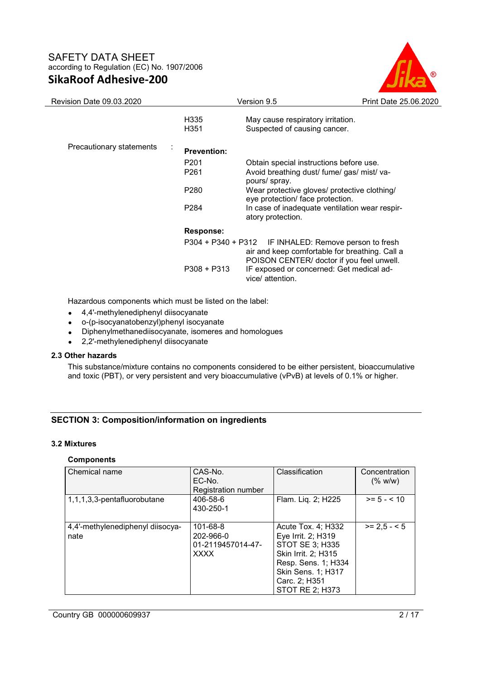

| <b>Revision Date 09.03.2020</b>            |                                          | Version 9.5                                                                                                                                                                                                                                                       | Print Date 25.06.2020 |
|--------------------------------------------|------------------------------------------|-------------------------------------------------------------------------------------------------------------------------------------------------------------------------------------------------------------------------------------------------------------------|-----------------------|
|                                            | H335<br>H351                             | May cause respiratory irritation.<br>Suspected of causing cancer.                                                                                                                                                                                                 |                       |
| Precautionary statements<br>$\blacksquare$ | <b>Prevention:</b>                       |                                                                                                                                                                                                                                                                   |                       |
|                                            | P <sub>201</sub><br>P261<br>P280<br>P284 | Obtain special instructions before use.<br>Avoid breathing dust/ fume/ gas/ mist/ va-<br>pours/ spray.<br>Wear protective gloves/ protective clothing/<br>eye protection/ face protection.<br>In case of inadequate ventilation wear respir-<br>atory protection. |                       |
|                                            | Response:<br>$P308 + P313$               | P304 + P340 + P312 IF INHALED: Remove person to fresh<br>air and keep comfortable for breathing. Call a<br>POISON CENTER/ doctor if you feel unwell.<br>IF exposed or concerned: Get medical ad-<br>vice/ attention.                                              |                       |

Hazardous components which must be listed on the label:

- 4,4'-methylenediphenyl diisocyanate
- o-(p-isocyanatobenzyl)phenyl isocyanate
- Diphenylmethanediisocyanate, isomeres and homologues
- 2,2'-methylenediphenyl diisocyanate

## **2.3 Other hazards**

This substance/mixture contains no components considered to be either persistent, bioaccumulative and toxic (PBT), or very persistent and very bioaccumulative (vPvB) at levels of 0.1% or higher.

## **SECTION 3: Composition/information on ingredients**

## **3.2 Mixtures**

## **Components**

| Chemical name                            | CAS-No.<br>EC-No.<br>Registration number                  | Classification                                                                                                                                                             | Concentration<br>(% w/w) |
|------------------------------------------|-----------------------------------------------------------|----------------------------------------------------------------------------------------------------------------------------------------------------------------------------|--------------------------|
| 1,1,1,3,3-pentafluorobutane              | 406-58-6<br>430-250-1                                     | Flam. Liq. 2; H225                                                                                                                                                         | $>= 5 - < 10$            |
| 4,4'-methylenediphenyl diisocya-<br>nate | 101-68-8<br>202-966-0<br>01-2119457014-47-<br><b>XXXX</b> | Acute Tox. 4; H332<br>Eye Irrit. 2; H319<br>STOT SE 3; H335<br>Skin Irrit. 2; H315<br>Resp. Sens. 1; H334<br>Skin Sens. 1; H317<br>Carc. 2; H351<br><b>STOT RE 2; H373</b> | $>= 2.5 - 5$             |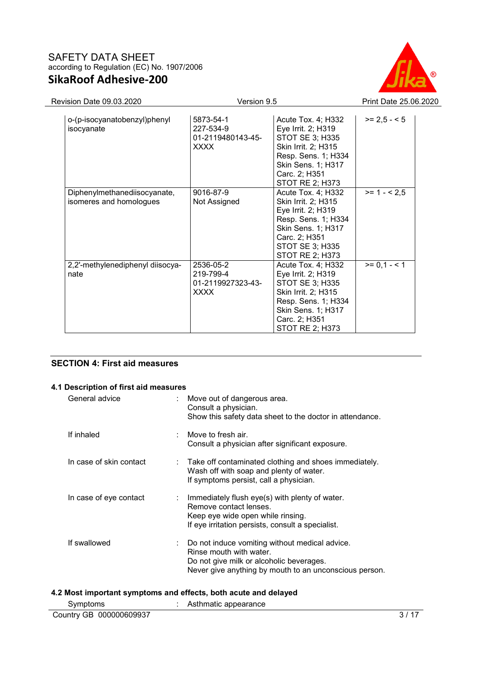

| <b>Revision Date 09.03.2020</b>                         |                                                            | Version 9.5                                                                                                                                                                |              |  |  |
|---------------------------------------------------------|------------------------------------------------------------|----------------------------------------------------------------------------------------------------------------------------------------------------------------------------|--------------|--|--|
| o-(p-isocyanatobenzyl)phenyl<br>isocyanate              | 5873-54-1<br>227-534-9<br>01-2119480143-45-<br><b>XXXX</b> | Acute Tox. 4; H332<br>Eye Irrit. 2; H319<br>STOT SE 3; H335<br>Skin Irrit. 2; H315<br>Resp. Sens. 1; H334<br>Skin Sens. 1; H317<br>Carc. 2; H351<br><b>STOT RE 2; H373</b> | $>= 2.5 - 5$ |  |  |
| Diphenylmethanediisocyanate,<br>isomeres and homologues | 9016-87-9<br>Not Assigned                                  | Acute Tox. 4; H332<br>Skin Irrit. 2; H315<br>Eye Irrit. 2; H319<br>Resp. Sens. 1; H334<br>Skin Sens. 1; H317<br>Carc. 2; H351<br><b>STOT SE 3; H335</b><br>STOT RE 2; H373 | $>= 1 - 2.5$ |  |  |
| 2,2'-methylenediphenyl diisocya-<br>nate                | 2536-05-2<br>219-799-4<br>01-2119927323-43-<br><b>XXXX</b> | Acute Tox. 4; H332<br>Eye Irrit. 2; H319<br>STOT SE 3; H335<br>Skin Irrit. 2; H315<br>Resp. Sens. 1; H334<br>Skin Sens. 1; H317<br>Carc. 2; H351<br>STOT RE 2; H373        | $>= 0.1 - 1$ |  |  |

## **SECTION 4: First aid measures**

#### **4.1 Description of first aid measures**

| General advice          |   | Move out of dangerous area.<br>Consult a physician.<br>Show this safety data sheet to the doctor in attendance.                                                                 |
|-------------------------|---|---------------------------------------------------------------------------------------------------------------------------------------------------------------------------------|
| If inhaled              |   | Move to fresh air.<br>Consult a physician after significant exposure.                                                                                                           |
| In case of skin contact | ÷ | Take off contaminated clothing and shoes immediately.<br>Wash off with soap and plenty of water.<br>If symptoms persist, call a physician.                                      |
| In case of eye contact  | ÷ | Immediately flush eye(s) with plenty of water.<br>Remove contact lenses.<br>Keep eye wide open while rinsing.<br>If eye irritation persists, consult a specialist.              |
| If swallowed            |   | Do not induce vomiting without medical advice.<br>Rinse mouth with water.<br>Do not give milk or alcoholic beverages.<br>Never give anything by mouth to an unconscious person. |

#### **4.2 Most important symptoms and effects, both acute and delayed**

| Symptoms                | Asthmatic appearance |  |
|-------------------------|----------------------|--|
| Country GB 000000609937 |                      |  |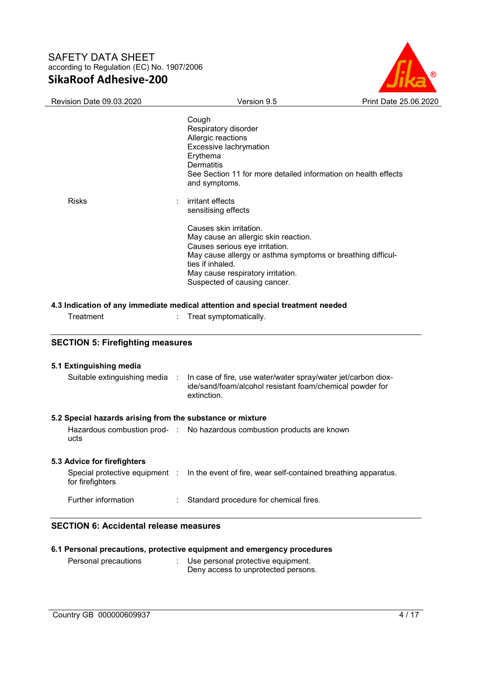

|                                                                                                                                                                | Version 9.5                                                                                                                                        | Print Date 25.06.2020 |
|----------------------------------------------------------------------------------------------------------------------------------------------------------------|----------------------------------------------------------------------------------------------------------------------------------------------------|-----------------------|
|                                                                                                                                                                | Cough                                                                                                                                              |                       |
|                                                                                                                                                                | Respiratory disorder                                                                                                                               |                       |
|                                                                                                                                                                | Allergic reactions                                                                                                                                 |                       |
|                                                                                                                                                                | Excessive lachrymation                                                                                                                             |                       |
|                                                                                                                                                                | Erythema                                                                                                                                           |                       |
|                                                                                                                                                                | <b>Dermatitis</b>                                                                                                                                  |                       |
|                                                                                                                                                                | See Section 11 for more detailed information on health effects                                                                                     |                       |
|                                                                                                                                                                | and symptoms.                                                                                                                                      |                       |
| <b>Risks</b>                                                                                                                                                   | irritant effects                                                                                                                                   |                       |
|                                                                                                                                                                | sensitising effects                                                                                                                                |                       |
|                                                                                                                                                                | Causes skin irritation.                                                                                                                            |                       |
|                                                                                                                                                                | May cause an allergic skin reaction.                                                                                                               |                       |
|                                                                                                                                                                | Causes serious eye irritation.                                                                                                                     |                       |
|                                                                                                                                                                | May cause allergy or asthma symptoms or breathing difficul-                                                                                        |                       |
|                                                                                                                                                                | ties if inhaled.                                                                                                                                   |                       |
|                                                                                                                                                                | May cause respiratory irritation.                                                                                                                  |                       |
|                                                                                                                                                                |                                                                                                                                                    |                       |
| Treatment                                                                                                                                                      | Suspected of causing cancer.<br>4.3 Indication of any immediate medical attention and special treatment needed<br>Treat symptomatically.           |                       |
|                                                                                                                                                                |                                                                                                                                                    |                       |
|                                                                                                                                                                |                                                                                                                                                    |                       |
| Suitable extinguishing media                                                                                                                                   | In case of fire, use water/water spray/water jet/carbon diox-<br>$\sim$<br>ide/sand/foam/alcohol resistant foam/chemical powder for<br>extinction. |                       |
|                                                                                                                                                                |                                                                                                                                                    |                       |
| ucts                                                                                                                                                           | Hazardous combustion prod- : No hazardous combustion products are known                                                                            |                       |
| <b>SECTION 5: Firefighting measures</b><br>5.1 Extinguishing media<br>5.2 Special hazards arising from the substance or mixture<br>5.3 Advice for firefighters |                                                                                                                                                    |                       |
| Special protective equipment :<br>for firefighters                                                                                                             | In the event of fire, wear self-contained breathing apparatus.                                                                                     |                       |

|                      | 6.1 Personal precautions, protective equipment and emergency procedures |
|----------------------|-------------------------------------------------------------------------|
| Personal precautions | Use personal protective equipment.                                      |

Deny access to unprotected persons.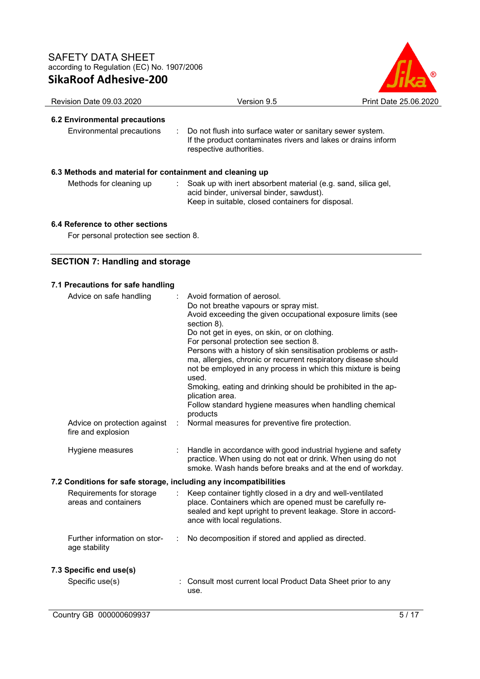

# **6.2 Environmental precautions**

Environmental precautions : Do not flush into surface water or sanitary sewer system. If the product contaminates rivers and lakes or drains inform respective authorities.

## **6.3 Methods and material for containment and cleaning up**

- 
- Methods for cleaning up : Soak up with inert absorbent material (e.g. sand, silica gel, acid binder, universal binder, sawdust). Keep in suitable, closed containers for disposal.

## **6.4 Reference to other sections**

For personal protection see section 8.

## **SECTION 7: Handling and storage**

| 7.1 Precautions for safe handling                                |                                                                                                                                                                                                                                                                                                                                                                                                                                                                                                                                                                                                                                                                         |
|------------------------------------------------------------------|-------------------------------------------------------------------------------------------------------------------------------------------------------------------------------------------------------------------------------------------------------------------------------------------------------------------------------------------------------------------------------------------------------------------------------------------------------------------------------------------------------------------------------------------------------------------------------------------------------------------------------------------------------------------------|
| Advice on safe handling<br>Advice on protection against          | Avoid formation of aerosol.<br>Do not breathe vapours or spray mist.<br>Avoid exceeding the given occupational exposure limits (see<br>section 8).<br>Do not get in eyes, on skin, or on clothing.<br>For personal protection see section 8.<br>Persons with a history of skin sensitisation problems or asth-<br>ma, allergies, chronic or recurrent respiratory disease should<br>not be employed in any process in which this mixture is being<br>used.<br>Smoking, eating and drinking should be prohibited in the ap-<br>plication area.<br>Follow standard hygiene measures when handling chemical<br>products<br>Normal measures for preventive fire protection. |
| fire and explosion                                               |                                                                                                                                                                                                                                                                                                                                                                                                                                                                                                                                                                                                                                                                         |
| Hygiene measures                                                 | Handle in accordance with good industrial hygiene and safety<br>practice. When using do not eat or drink. When using do not<br>smoke. Wash hands before breaks and at the end of workday.                                                                                                                                                                                                                                                                                                                                                                                                                                                                               |
| 7.2 Conditions for safe storage, including any incompatibilities |                                                                                                                                                                                                                                                                                                                                                                                                                                                                                                                                                                                                                                                                         |
| Requirements for storage<br>areas and containers                 | Keep container tightly closed in a dry and well-ventilated<br>place. Containers which are opened must be carefully re-<br>sealed and kept upright to prevent leakage. Store in accord-<br>ance with local regulations.                                                                                                                                                                                                                                                                                                                                                                                                                                                  |
| Further information on stor-<br>age stability                    | No decomposition if stored and applied as directed.                                                                                                                                                                                                                                                                                                                                                                                                                                                                                                                                                                                                                     |
| 7.3 Specific end use(s)                                          |                                                                                                                                                                                                                                                                                                                                                                                                                                                                                                                                                                                                                                                                         |
| Specific use(s)                                                  | : Consult most current local Product Data Sheet prior to any<br>use.                                                                                                                                                                                                                                                                                                                                                                                                                                                                                                                                                                                                    |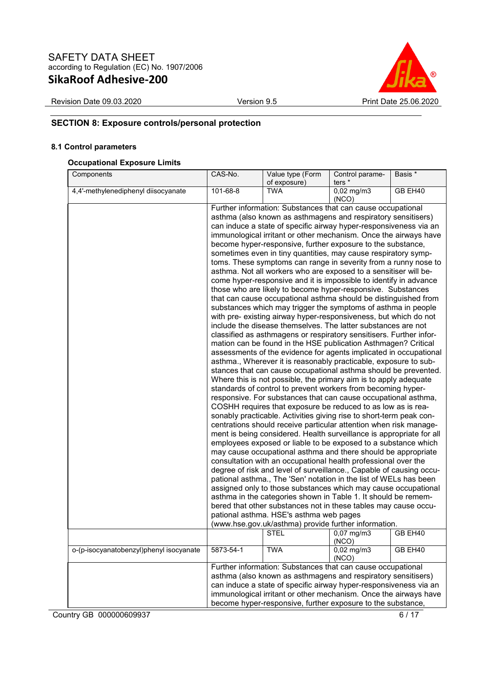

Revision Date 09.03.2020 Version 9.5 Print Date 25.06.2020

# **SECTION 8: Exposure controls/personal protection**

## **8.1 Control parameters**

#### **Occupational Exposure Limits**

| Components                              | CAS-No.                                                                                                                                                                                                                                                                                                                              | Value type (Form<br>of exposure)                                                                                                                                                                                                                                                                                                                                                                                                                                                                                                                                                                                                                                                                                                                                                                                                                                                                                                                                                                                                                                                                                                                                                                                                                                                                                                                                                                                                                                                                                                                                                                                                                                                                                                                                                                                                                                                                                                                                                                                                                                                                                                                                                                                                                                                                                                                                                                                                                                             | Control parame-<br>ters * | Basis * |
|-----------------------------------------|--------------------------------------------------------------------------------------------------------------------------------------------------------------------------------------------------------------------------------------------------------------------------------------------------------------------------------------|------------------------------------------------------------------------------------------------------------------------------------------------------------------------------------------------------------------------------------------------------------------------------------------------------------------------------------------------------------------------------------------------------------------------------------------------------------------------------------------------------------------------------------------------------------------------------------------------------------------------------------------------------------------------------------------------------------------------------------------------------------------------------------------------------------------------------------------------------------------------------------------------------------------------------------------------------------------------------------------------------------------------------------------------------------------------------------------------------------------------------------------------------------------------------------------------------------------------------------------------------------------------------------------------------------------------------------------------------------------------------------------------------------------------------------------------------------------------------------------------------------------------------------------------------------------------------------------------------------------------------------------------------------------------------------------------------------------------------------------------------------------------------------------------------------------------------------------------------------------------------------------------------------------------------------------------------------------------------------------------------------------------------------------------------------------------------------------------------------------------------------------------------------------------------------------------------------------------------------------------------------------------------------------------------------------------------------------------------------------------------------------------------------------------------------------------------------------------------|---------------------------|---------|
| 4,4'-methylenediphenyl diisocyanate     | 101-68-8                                                                                                                                                                                                                                                                                                                             | <b>TWA</b>                                                                                                                                                                                                                                                                                                                                                                                                                                                                                                                                                                                                                                                                                                                                                                                                                                                                                                                                                                                                                                                                                                                                                                                                                                                                                                                                                                                                                                                                                                                                                                                                                                                                                                                                                                                                                                                                                                                                                                                                                                                                                                                                                                                                                                                                                                                                                                                                                                                                   | $0,02$ mg/m3<br>(NCO)     | GB EH40 |
|                                         |                                                                                                                                                                                                                                                                                                                                      | Further information: Substances that can cause occupational<br>asthma (also known as asthmagens and respiratory sensitisers)<br>can induce a state of specific airway hyper-responsiveness via an<br>immunological irritant or other mechanism. Once the airways have<br>become hyper-responsive, further exposure to the substance,<br>sometimes even in tiny quantities, may cause respiratory symp-<br>toms. These symptoms can range in severity from a runny nose to<br>asthma. Not all workers who are exposed to a sensitiser will be-<br>come hyper-responsive and it is impossible to identify in advance<br>those who are likely to become hyper-responsive. Substances<br>that can cause occupational asthma should be distinguished from<br>substances which may trigger the symptoms of asthma in people<br>with pre- existing airway hyper-responsiveness, but which do not<br>include the disease themselves. The latter substances are not<br>classified as asthmagens or respiratory sensitisers. Further infor-<br>mation can be found in the HSE publication Asthmagen? Critical<br>assessments of the evidence for agents implicated in occupational<br>asthma., Wherever it is reasonably practicable, exposure to sub-<br>stances that can cause occupational asthma should be prevented.<br>Where this is not possible, the primary aim is to apply adequate<br>standards of control to prevent workers from becoming hyper-<br>responsive. For substances that can cause occupational asthma,<br>COSHH requires that exposure be reduced to as low as is rea-<br>sonably practicable. Activities giving rise to short-term peak con-<br>centrations should receive particular attention when risk manage-<br>ment is being considered. Health surveillance is appropriate for all<br>employees exposed or liable to be exposed to a substance which<br>may cause occupational asthma and there should be appropriate<br>consultation with an occupational health professional over the<br>degree of risk and level of surveillance., Capable of causing occu-<br>pational asthma., The 'Sen' notation in the list of WELs has been<br>assigned only to those substances which may cause occupational<br>asthma in the categories shown in Table 1. It should be remem-<br>bered that other substances not in these tables may cause occu-<br>pational asthma. HSE's asthma web pages<br>(www.hse.gov.uk/asthma) provide further information.<br>STEL | $0,07 \, \text{mg/m}$     | GB EH40 |
| o-(p-isocyanatobenzyl)phenyl isocyanate | 5873-54-1                                                                                                                                                                                                                                                                                                                            | <b>TWA</b>                                                                                                                                                                                                                                                                                                                                                                                                                                                                                                                                                                                                                                                                                                                                                                                                                                                                                                                                                                                                                                                                                                                                                                                                                                                                                                                                                                                                                                                                                                                                                                                                                                                                                                                                                                                                                                                                                                                                                                                                                                                                                                                                                                                                                                                                                                                                                                                                                                                                   | (NCO)<br>$0,02$ mg/m $3$  | GB EH40 |
|                                         |                                                                                                                                                                                                                                                                                                                                      |                                                                                                                                                                                                                                                                                                                                                                                                                                                                                                                                                                                                                                                                                                                                                                                                                                                                                                                                                                                                                                                                                                                                                                                                                                                                                                                                                                                                                                                                                                                                                                                                                                                                                                                                                                                                                                                                                                                                                                                                                                                                                                                                                                                                                                                                                                                                                                                                                                                                              | (NCO)                     |         |
|                                         | Further information: Substances that can cause occupational<br>asthma (also known as asthmagens and respiratory sensitisers)<br>can induce a state of specific airway hyper-responsiveness via an<br>immunological irritant or other mechanism. Once the airways have<br>become hyper-responsive, further exposure to the substance, |                                                                                                                                                                                                                                                                                                                                                                                                                                                                                                                                                                                                                                                                                                                                                                                                                                                                                                                                                                                                                                                                                                                                                                                                                                                                                                                                                                                                                                                                                                                                                                                                                                                                                                                                                                                                                                                                                                                                                                                                                                                                                                                                                                                                                                                                                                                                                                                                                                                                              |                           |         |

Country GB 000000609937 6/17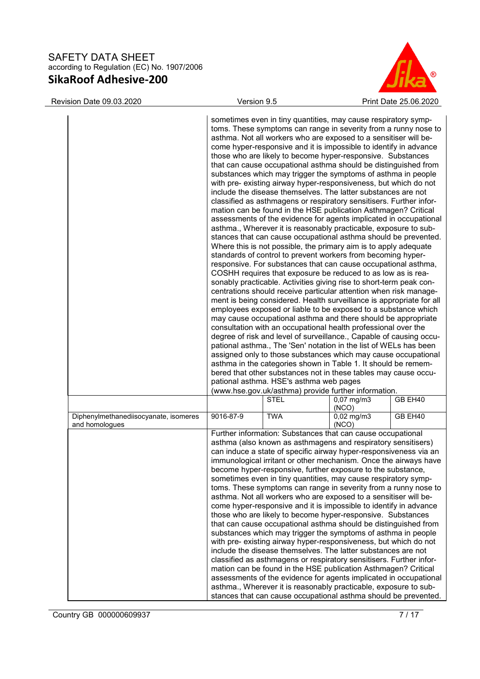

Revision Date 09.03.2020 Version 9.5 Print Date 25.06.2020

|                                                         | sometimes even in tiny quantities, may cause respiratory symp-<br>toms. These symptoms can range in severity from a runny nose to<br>asthma. Not all workers who are exposed to a sensitiser will be-<br>come hyper-responsive and it is impossible to identify in advance<br>those who are likely to become hyper-responsive. Substances<br>that can cause occupational asthma should be distinguished from<br>substances which may trigger the symptoms of asthma in people<br>with pre- existing airway hyper-responsiveness, but which do not<br>include the disease themselves. The latter substances are not<br>classified as asthmagens or respiratory sensitisers. Further infor-<br>mation can be found in the HSE publication Asthmagen? Critical<br>assessments of the evidence for agents implicated in occupational<br>asthma., Wherever it is reasonably practicable, exposure to sub-<br>stances that can cause occupational asthma should be prevented.<br>Where this is not possible, the primary aim is to apply adequate<br>standards of control to prevent workers from becoming hyper-<br>responsive. For substances that can cause occupational asthma,<br>COSHH requires that exposure be reduced to as low as is rea-<br>sonably practicable. Activities giving rise to short-term peak con-<br>centrations should receive particular attention when risk manage-<br>ment is being considered. Health surveillance is appropriate for all<br>employees exposed or liable to be exposed to a substance which<br>may cause occupational asthma and there should be appropriate<br>consultation with an occupational health professional over the<br>degree of risk and level of surveillance., Capable of causing occu-<br>pational asthma., The 'Sen' notation in the list of WELs has been<br>assigned only to those substances which may cause occupational<br>asthma in the categories shown in Table 1. It should be remem-<br>bered that other substances not in these tables may cause occu-<br>pational asthma. HSE's asthma web pages<br>(www.hse.gov.uk/asthma) provide further information. |             |                       |         |
|---------------------------------------------------------|------------------------------------------------------------------------------------------------------------------------------------------------------------------------------------------------------------------------------------------------------------------------------------------------------------------------------------------------------------------------------------------------------------------------------------------------------------------------------------------------------------------------------------------------------------------------------------------------------------------------------------------------------------------------------------------------------------------------------------------------------------------------------------------------------------------------------------------------------------------------------------------------------------------------------------------------------------------------------------------------------------------------------------------------------------------------------------------------------------------------------------------------------------------------------------------------------------------------------------------------------------------------------------------------------------------------------------------------------------------------------------------------------------------------------------------------------------------------------------------------------------------------------------------------------------------------------------------------------------------------------------------------------------------------------------------------------------------------------------------------------------------------------------------------------------------------------------------------------------------------------------------------------------------------------------------------------------------------------------------------------------------------------------------------------------------------------------------------------------------------------|-------------|-----------------------|---------|
|                                                         |                                                                                                                                                                                                                                                                                                                                                                                                                                                                                                                                                                                                                                                                                                                                                                                                                                                                                                                                                                                                                                                                                                                                                                                                                                                                                                                                                                                                                                                                                                                                                                                                                                                                                                                                                                                                                                                                                                                                                                                                                                                                                                                              | <b>STEL</b> | $0,07$ mg/m3          | GB EH40 |
|                                                         |                                                                                                                                                                                                                                                                                                                                                                                                                                                                                                                                                                                                                                                                                                                                                                                                                                                                                                                                                                                                                                                                                                                                                                                                                                                                                                                                                                                                                                                                                                                                                                                                                                                                                                                                                                                                                                                                                                                                                                                                                                                                                                                              |             | (NCO)                 |         |
| Diphenylmethanediisocyanate, isomeres<br>and homologues | 9016-87-9                                                                                                                                                                                                                                                                                                                                                                                                                                                                                                                                                                                                                                                                                                                                                                                                                                                                                                                                                                                                                                                                                                                                                                                                                                                                                                                                                                                                                                                                                                                                                                                                                                                                                                                                                                                                                                                                                                                                                                                                                                                                                                                    | <b>TWA</b>  | $0,02$ mg/m3<br>(NCO) | GB EH40 |
|                                                         | Further information: Substances that can cause occupational<br>asthma (also known as asthmagens and respiratory sensitisers)<br>can induce a state of specific airway hyper-responsiveness via an<br>immunological irritant or other mechanism. Once the airways have<br>become hyper-responsive, further exposure to the substance,<br>sometimes even in tiny quantities, may cause respiratory symp-<br>toms. These symptoms can range in severity from a runny nose to<br>asthma. Not all workers who are exposed to a sensitiser will be-<br>come hyper-responsive and it is impossible to identify in advance<br>those who are likely to become hyper-responsive. Substances<br>that can cause occupational asthma should be distinguished from<br>substances which may trigger the symptoms of asthma in people<br>with pre- existing airway hyper-responsiveness, but which do not<br>include the disease themselves. The latter substances are not<br>classified as asthmagens or respiratory sensitisers. Further infor-<br>mation can be found in the HSE publication Asthmagen? Critical<br>assessments of the evidence for agents implicated in occupational<br>asthma., Wherever it is reasonably practicable, exposure to sub-<br>stances that can cause occupational asthma should be prevented.                                                                                                                                                                                                                                                                                                                                                                                                                                                                                                                                                                                                                                                                                                                                                                                                              |             |                       |         |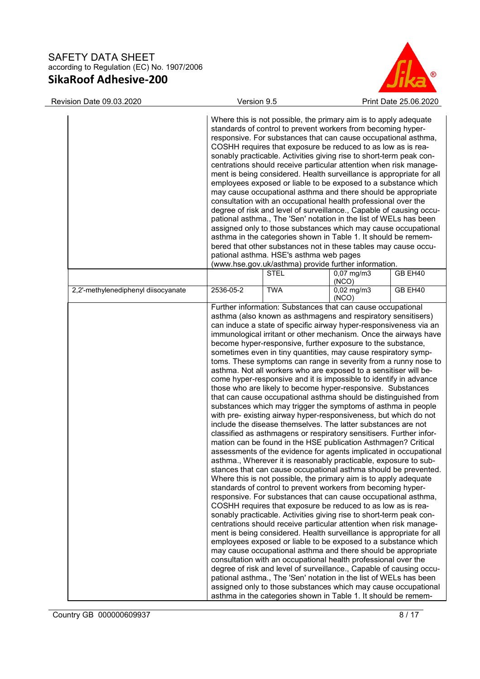

| Revision Date 09.03.2020            | Version 9.5 |                                                                                                                                                                                                                                                                                                                                                                                                                                                                                                                                                                                                                                                                                                                                                                                                                                                                                                                                                                                                                                                                                                                                                                                                                                                                                                                                                                                                                                                                                                                                                                                                                                                                                                                                                                                                                                                                                                                                                                                                                                                                                                                                                                                                                                 |                       | Print Date 25.06.2020 |
|-------------------------------------|-------------|---------------------------------------------------------------------------------------------------------------------------------------------------------------------------------------------------------------------------------------------------------------------------------------------------------------------------------------------------------------------------------------------------------------------------------------------------------------------------------------------------------------------------------------------------------------------------------------------------------------------------------------------------------------------------------------------------------------------------------------------------------------------------------------------------------------------------------------------------------------------------------------------------------------------------------------------------------------------------------------------------------------------------------------------------------------------------------------------------------------------------------------------------------------------------------------------------------------------------------------------------------------------------------------------------------------------------------------------------------------------------------------------------------------------------------------------------------------------------------------------------------------------------------------------------------------------------------------------------------------------------------------------------------------------------------------------------------------------------------------------------------------------------------------------------------------------------------------------------------------------------------------------------------------------------------------------------------------------------------------------------------------------------------------------------------------------------------------------------------------------------------------------------------------------------------------------------------------------------------|-----------------------|-----------------------|
|                                     |             | Where this is not possible, the primary aim is to apply adequate<br>standards of control to prevent workers from becoming hyper-<br>responsive. For substances that can cause occupational asthma,<br>COSHH requires that exposure be reduced to as low as is rea-<br>sonably practicable. Activities giving rise to short-term peak con-<br>centrations should receive particular attention when risk manage-<br>ment is being considered. Health surveillance is appropriate for all<br>employees exposed or liable to be exposed to a substance which<br>may cause occupational asthma and there should be appropriate<br>consultation with an occupational health professional over the<br>degree of risk and level of surveillance., Capable of causing occu-<br>pational asthma., The 'Sen' notation in the list of WELs has been<br>assigned only to those substances which may cause occupational<br>asthma in the categories shown in Table 1. It should be remem-<br>bered that other substances not in these tables may cause occu-<br>pational asthma. HSE's asthma web pages<br>(www.hse.gov.uk/asthma) provide further information.                                                                                                                                                                                                                                                                                                                                                                                                                                                                                                                                                                                                                                                                                                                                                                                                                                                                                                                                                                                                                                                                               |                       |                       |
|                                     |             | STEL                                                                                                                                                                                                                                                                                                                                                                                                                                                                                                                                                                                                                                                                                                                                                                                                                                                                                                                                                                                                                                                                                                                                                                                                                                                                                                                                                                                                                                                                                                                                                                                                                                                                                                                                                                                                                                                                                                                                                                                                                                                                                                                                                                                                                            | $0,07$ mg/m3<br>(NCO) | GB EH40               |
| 2,2'-methylenediphenyl diisocyanate | 2536-05-2   | <b>TWA</b>                                                                                                                                                                                                                                                                                                                                                                                                                                                                                                                                                                                                                                                                                                                                                                                                                                                                                                                                                                                                                                                                                                                                                                                                                                                                                                                                                                                                                                                                                                                                                                                                                                                                                                                                                                                                                                                                                                                                                                                                                                                                                                                                                                                                                      | $0,02$ mg/m3<br>(NCO) | GB EH40               |
|                                     |             | asthma (also known as asthmagens and respiratory sensitisers)<br>can induce a state of specific airway hyper-responsiveness via an<br>immunological irritant or other mechanism. Once the airways have<br>become hyper-responsive, further exposure to the substance,<br>sometimes even in tiny quantities, may cause respiratory symp-<br>toms. These symptoms can range in severity from a runny nose to<br>asthma. Not all workers who are exposed to a sensitiser will be-<br>come hyper-responsive and it is impossible to identify in advance<br>those who are likely to become hyper-responsive. Substances<br>that can cause occupational asthma should be distinguished from<br>substances which may trigger the symptoms of asthma in people<br>with pre- existing airway hyper-responsiveness, but which do not<br>include the disease themselves. The latter substances are not<br>classified as asthmagens or respiratory sensitisers. Further infor-<br>mation can be found in the HSE publication Asthmagen? Critical<br>assessments of the evidence for agents implicated in occupational<br>asthma., Wherever it is reasonably practicable, exposure to sub-<br>stances that can cause occupational asthma should be prevented.<br>Where this is not possible, the primary aim is to apply adequate<br>standards of control to prevent workers from becoming hyper-<br>responsive. For substances that can cause occupational asthma,<br>COSHH requires that exposure be reduced to as low as is rea-<br>sonably practicable. Activities giving rise to short-term peak con-<br>centrations should receive particular attention when risk manage-<br>ment is being considered. Health surveillance is appropriate for all<br>employees exposed or liable to be exposed to a substance which<br>may cause occupational asthma and there should be appropriate<br>consultation with an occupational health professional over the<br>degree of risk and level of surveillance., Capable of causing occu-<br>pational asthma., The 'Sen' notation in the list of WELs has been<br>assigned only to those substances which may cause occupational<br>asthma in the categories shown in Table 1. It should be remem- |                       |                       |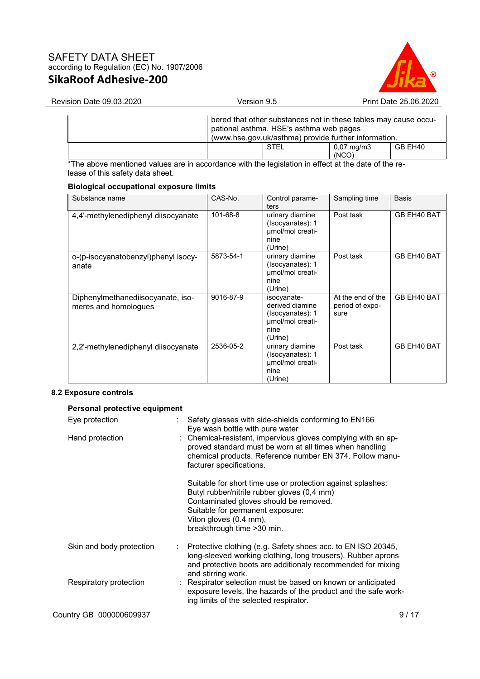

| bered that other substances not in these tables may cause occu-<br>pational asthma. HSE's asthma web pages<br>(www.hse.gov.uk/asthma) provide further information. |       |                       |         |
|--------------------------------------------------------------------------------------------------------------------------------------------------------------------|-------|-----------------------|---------|
| STEL                                                                                                                                                               | (NCO) | $0.07 \text{ mg/m}$ 3 | GB EH40 |

\*The above mentioned values are in accordance with the legislation in effect at the date of the release of this safety data sheet.

#### **Biological occupational exposure limits**

| Substance name                                            | CAS-No.   | Control parame-<br>ters                                                                   | Sampling time                                | <b>Basis</b> |
|-----------------------------------------------------------|-----------|-------------------------------------------------------------------------------------------|----------------------------------------------|--------------|
| 4,4'-methylenediphenyl diisocyanate                       | 101-68-8  | urinary diamine<br>(Isocyanates): 1<br>umol/mol creati-<br>nine<br>(Urine)                | Post task                                    | GB EH40 BAT  |
| o-(p-isocyanatobenzyl)phenyl isocy-<br>anate              | 5873-54-1 | urinary diamine<br>(Isocyanates): 1<br>umol/mol creati-<br>nine<br>(Urine)                | Post task                                    | GB EH40 BAT  |
| Diphenylmethanediisocyanate, iso-<br>meres and homologues | 9016-87-9 | isocyanate-<br>derived diamine<br>(Isocyanates): 1<br>umol/mol creati-<br>nine<br>(Urine) | At the end of the<br>period of expo-<br>sure | GB EH40 BAT  |
| 2,2'-methylenediphenyl diisocyanate                       | 2536-05-2 | urinary diamine<br>(Isocyanates): 1<br>umol/mol creati-<br>nine<br>(Urine)                | Post task                                    | GB EH40 BAT  |

## **8.2 Exposure controls**

## **Personal protective equipment**

| Eye protection           | Safety glasses with side-shields conforming to EN166<br>Eye wash bottle with pure water                                                                                                                                                           |
|--------------------------|---------------------------------------------------------------------------------------------------------------------------------------------------------------------------------------------------------------------------------------------------|
| Hand protection          | : Chemical-resistant, impervious gloves complying with an ap-<br>proved standard must be worn at all times when handling<br>chemical products. Reference number EN 374. Follow manu-<br>facturer specifications.                                  |
|                          | Suitable for short time use or protection against splashes:<br>Butyl rubber/nitrile rubber gloves (0,4 mm)<br>Contaminated gloves should be removed.<br>Suitable for permanent exposure:<br>Viton gloves (0.4 mm),<br>breakthrough time > 30 min. |
| Skin and body protection | Protective clothing (e.g. Safety shoes acc. to EN ISO 20345,<br>long-sleeved working clothing, long trousers). Rubber aprons<br>and protective boots are additionaly recommended for mixing<br>and stirring work.                                 |
| Respiratory protection   | : Respirator selection must be based on known or anticipated<br>exposure levels, the hazards of the product and the safe work-<br>ing limits of the selected respirator.                                                                          |
| Country GB 000000609937  | 9/17                                                                                                                                                                                                                                              |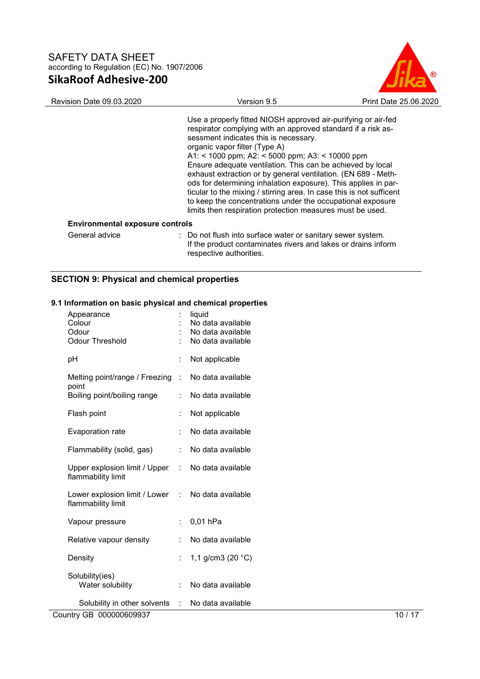

| <b>Revision Date 09.03.2020</b>        | Version 9.5                                                                                                                                                                                                                                                                                                                                                                                                                                                                                                                                                                                                                                                    | Print Date 25,06,2020 |
|----------------------------------------|----------------------------------------------------------------------------------------------------------------------------------------------------------------------------------------------------------------------------------------------------------------------------------------------------------------------------------------------------------------------------------------------------------------------------------------------------------------------------------------------------------------------------------------------------------------------------------------------------------------------------------------------------------------|-----------------------|
|                                        | Use a properly fitted NIOSH approved air-purifying or air-fed<br>respirator complying with an approved standard if a risk as-<br>sessment indicates this is necessary.<br>organic vapor filter (Type A)<br>A1: < 1000 ppm; A2: < 5000 ppm; A3: < 10000 ppm<br>Ensure adequate ventilation. This can be achieved by local<br>exhaust extraction or by general ventilation. (EN 689 - Meth-<br>ods for determining inhalation exposure). This applies in par-<br>ticular to the mixing / stirring area. In case this is not sufficent<br>to keep the concentrations under the occupational exposure<br>limits then respiration protection measures must be used. |                       |
| <b>Environmental exposure controls</b> |                                                                                                                                                                                                                                                                                                                                                                                                                                                                                                                                                                                                                                                                |                       |
| General advice                         | : Do not flush into surface water or sanitary sewer system.<br>If the product contaminates rivers and lakes or drains inform                                                                                                                                                                                                                                                                                                                                                                                                                                                                                                                                   |                       |

respective authorities.

# **SECTION 9: Physical and chemical properties**

## **9.1 Information on basic physical and chemical properties**

| Appearance<br>Colour<br>Odour<br><b>Odour Threshold</b> |                | liquid<br>No data available<br>No data available<br>No data available |
|---------------------------------------------------------|----------------|-----------------------------------------------------------------------|
| рH                                                      | $\ddot{\cdot}$ | Not applicable                                                        |
| Melting point/range / Freezing<br>point                 | Î.             | No data available                                                     |
| Boiling point/boiling range                             |                | No data available                                                     |
| Flash point                                             | Î.             | Not applicable                                                        |
| <b>Evaporation rate</b>                                 | $\ddot{\cdot}$ | No data available                                                     |
| Flammability (solid, gas)                               | ÷.             | No data available                                                     |
| Upper explosion limit / Upper<br>flammability limit     | ÷              | No data available                                                     |
| Lower explosion limit / Lower<br>flammability limit     | t.             | No data available                                                     |
| Vapour pressure                                         | t.             | 0,01 hPa                                                              |
| Relative vapour density                                 |                | No data available                                                     |
| Density                                                 |                | 1,1 g/cm3 (20 $^{\circ}$ C)                                           |
| Solubility(ies)<br>Water solubility                     | ÷.             | No data available                                                     |
| Solubility in other solvents                            | ÷              | No data available                                                     |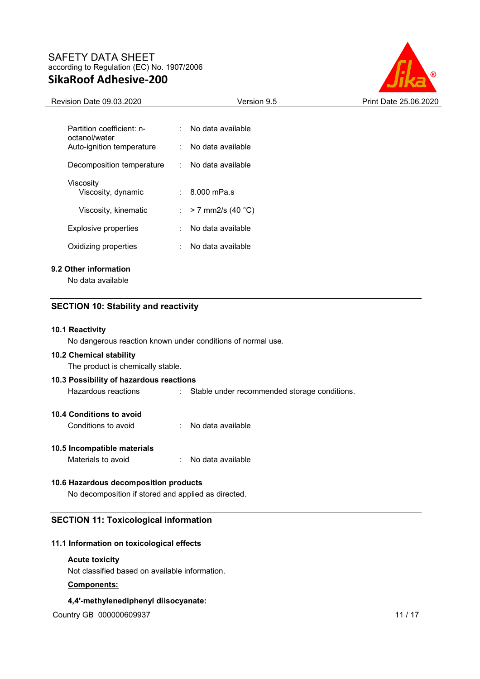

| Revision Date 09.03.2020                                    |   | Version 9.5                                  | Print Date 25.06.2020 |
|-------------------------------------------------------------|---|----------------------------------------------|-----------------------|
|                                                             |   |                                              |                       |
| Partition coefficient: n-<br>octanol/water                  |   | No data available                            |                       |
| Auto-ignition temperature                                   |   | No data available                            |                       |
| Decomposition temperature                                   |   | No data available                            |                       |
| Viscosity                                                   |   |                                              |                       |
| Viscosity, dynamic                                          |   | 8.000 mPa.s                                  |                       |
| Viscosity, kinematic                                        | ÷ | $> 7$ mm2/s (40 °C)                          |                       |
| <b>Explosive properties</b>                                 |   | No data available                            |                       |
| Oxidizing properties                                        | ÷ | No data available                            |                       |
| 9.2 Other information                                       |   |                                              |                       |
| No data available                                           |   |                                              |                       |
| <b>SECTION 10: Stability and reactivity</b>                 |   |                                              |                       |
|                                                             |   |                                              |                       |
| 10.1 Reactivity                                             |   |                                              |                       |
| No dangerous reaction known under conditions of normal use. |   |                                              |                       |
| 10.2 Chemical stability                                     |   |                                              |                       |
| The product is chemically stable.                           |   |                                              |                       |
| 10.3 Possibility of hazardous reactions                     |   |                                              |                       |
| Hazardous reactions                                         |   | Stable under recommended storage conditions. |                       |

## **10.4 Conditions to avoid**

Conditions to avoid : No data available

#### **10.5 Incompatible materials**

Materials to avoid **in the Contract Contract Contracts** : No data available

#### **10.6 Hazardous decomposition products**

No decomposition if stored and applied as directed.

## **SECTION 11: Toxicological information**

## **11.1 Information on toxicological effects**

### **Acute toxicity**

Not classified based on available information.

## **Components:**

### **4,4'-methylenediphenyl diisocyanate:**

Country GB 000000609937 11 / 17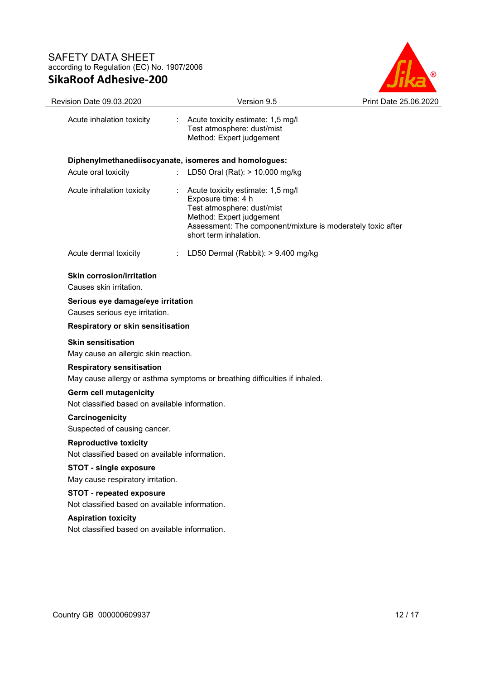

| Revision Date 09.03.2020                                                                                                           | Version 9.5                                                                                                                                                                                                | Print Date 25.06.2020 |
|------------------------------------------------------------------------------------------------------------------------------------|------------------------------------------------------------------------------------------------------------------------------------------------------------------------------------------------------------|-----------------------|
| Acute inhalation toxicity                                                                                                          | Acute toxicity estimate: 1,5 mg/l<br>Test atmosphere: dust/mist<br>Method: Expert judgement                                                                                                                |                       |
|                                                                                                                                    | Diphenylmethanediisocyanate, isomeres and homologues:                                                                                                                                                      |                       |
| Acute oral toxicity                                                                                                                | LD50 Oral (Rat): > 10.000 mg/kg                                                                                                                                                                            |                       |
| Acute inhalation toxicity                                                                                                          | Acute toxicity estimate: 1,5 mg/l<br>Exposure time: 4 h<br>Test atmosphere: dust/mist<br>Method: Expert judgement<br>Assessment: The component/mixture is moderately toxic after<br>short term inhalation. |                       |
| Acute dermal toxicity                                                                                                              | LD50 Dermal (Rabbit): > 9.400 mg/kg<br>÷                                                                                                                                                                   |                       |
| <b>Skin corrosion/irritation</b><br>Causes skin irritation.<br>Serious eye damage/eye irritation<br>Causes serious eye irritation. |                                                                                                                                                                                                            |                       |
| Respiratory or skin sensitisation                                                                                                  |                                                                                                                                                                                                            |                       |
| <b>Skin sensitisation</b><br>May cause an allergic skin reaction.                                                                  |                                                                                                                                                                                                            |                       |
| <b>Respiratory sensitisation</b>                                                                                                   | May cause allergy or asthma symptoms or breathing difficulties if inhaled.                                                                                                                                 |                       |
| <b>Germ cell mutagenicity</b><br>Not classified based on available information.                                                    |                                                                                                                                                                                                            |                       |
| Carcinogenicity<br>Suspected of causing cancer.                                                                                    |                                                                                                                                                                                                            |                       |
| <b>Reproductive toxicity</b><br>Not classified based on available information.                                                     |                                                                                                                                                                                                            |                       |
| <b>STOT - single exposure</b><br>May cause respiratory irritation.                                                                 |                                                                                                                                                                                                            |                       |
| <b>STOT - repeated exposure</b><br>Not classified based on available information.                                                  |                                                                                                                                                                                                            |                       |
| <b>Aspiration toxicity</b><br>Not classified based on available information.                                                       |                                                                                                                                                                                                            |                       |
|                                                                                                                                    |                                                                                                                                                                                                            |                       |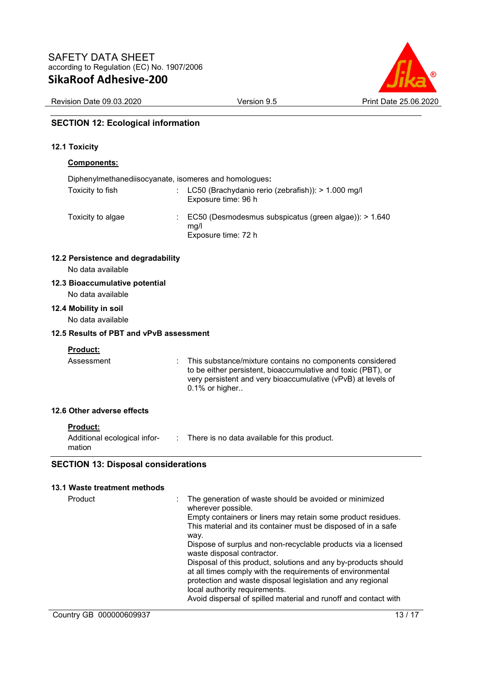

Revision Date 09.03.2020 Version 9.5 Print Date 25.06.2020

## **SECTION 12: Ecological information**

## **12.1 Toxicity**

# **Components:**

| Diphenylmethanediisocyanate, isomeres and homologues: |                                                                                                   |
|-------------------------------------------------------|---------------------------------------------------------------------------------------------------|
| Toxicity to fish                                      | : LC50 (Brachydanio rerio (zebrafish)): $> 1.000$ mg/l<br>Exposure time: 96 h                     |
| Toxicity to algae                                     | $\therefore$ EC50 (Desmodesmus subspicatus (green algae)): > 1.640<br>mg/l<br>Exposure time: 72 h |

## **12.2 Persistence and degradability**

No data available

## **12.3 Bioaccumulative potential**

No data available

**12.4 Mobility in soil** 

No data available

## **12.5 Results of PBT and vPvB assessment**

## **Product:**

Assessment : This substance/mixture contains no components considered to be either persistent, bioaccumulative and toxic (PBT), or very persistent and very bioaccumulative (vPvB) at levels of 0.1% or higher.. **12.6 Other adverse effects** 

| Product |  |
|---------|--|
|         |  |

| Additional ecological infor- | There is no data available for this product. |
|------------------------------|----------------------------------------------|
| mation                       |                                              |

## **SECTION 13: Disposal considerations**

## **13.1 Waste treatment methods**

| Product | The generation of waste should be avoided or minimized<br>wherever possible.<br>Empty containers or liners may retain some product residues.                                                                                                                                                   |
|---------|------------------------------------------------------------------------------------------------------------------------------------------------------------------------------------------------------------------------------------------------------------------------------------------------|
|         | This material and its container must be disposed of in a safe<br>way.<br>Dispose of surplus and non-recyclable products via a licensed<br>waste disposal contractor.                                                                                                                           |
|         | Disposal of this product, solutions and any by-products should<br>at all times comply with the requirements of environmental<br>protection and waste disposal legislation and any regional<br>local authority requirements.<br>Avoid dispersal of spilled material and runoff and contact with |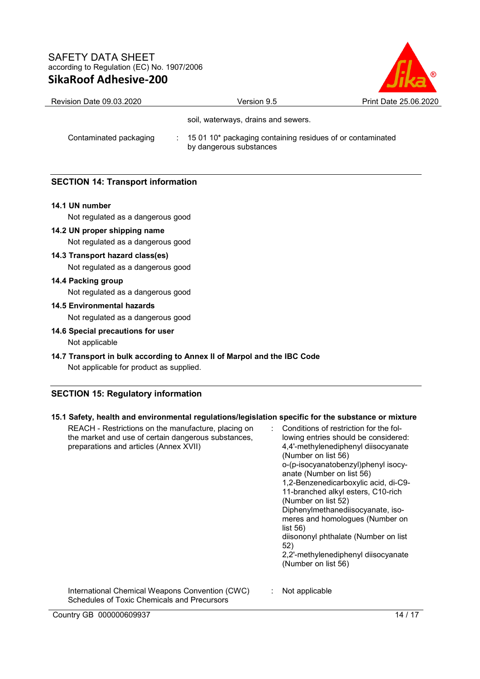

| <b>Revision Date 09.03.2020</b> | Version 9.5                                                                             | Print Date 25.06.2020 |  |
|---------------------------------|-----------------------------------------------------------------------------------------|-----------------------|--|
|                                 | soil, waterways, drains and sewers.                                                     |                       |  |
| Contaminated packaging          | : 15 01 10* packaging containing residues of or contaminated<br>by dangerous substances |                       |  |

## **SECTION 14: Transport information**

#### **14.1 UN number**

Not regulated as a dangerous good

**14.2 UN proper shipping name** 

Not regulated as a dangerous good

**14.3 Transport hazard class(es)**  Not regulated as a dangerous good

## **14.4 Packing group**

Not regulated as a dangerous good

**14.5 Environmental hazards** 

Not regulated as a dangerous good

**14.6 Special precautions for user** 

Not applicable

**14.7 Transport in bulk according to Annex II of Marpol and the IBC Code** 

Not applicable for product as supplied.

## **SECTION 15: Regulatory information**

| 15.1 Safety, nealth and environmental regulations/legislation specific for the substance or mixture                                                  |                                                                                                                                                                                                                                                                                                                                                                                                                                                                                                                        |
|------------------------------------------------------------------------------------------------------------------------------------------------------|------------------------------------------------------------------------------------------------------------------------------------------------------------------------------------------------------------------------------------------------------------------------------------------------------------------------------------------------------------------------------------------------------------------------------------------------------------------------------------------------------------------------|
| REACH - Restrictions on the manufacture, placing on<br>the market and use of certain dangerous substances,<br>preparations and articles (Annex XVII) | Conditions of restriction for the fol-<br>lowing entries should be considered:<br>4,4'-methylenediphenyl diisocyanate<br>(Number on list 56)<br>o-(p-isocyanatobenzyl)phenyl isocy-<br>anate (Number on list 56)<br>1,2-Benzenedicarboxylic acid, di-C9-<br>11-branched alkyl esters, C10-rich<br>(Number on list 52)<br>Diphenylmethanediisocyanate, iso-<br>meres and homologues (Number on<br>list 56)<br>diisononyl phthalate (Number on list<br>52)<br>2,2'-methylenediphenyl diisocyanate<br>(Number on list 56) |
| International Chemical Weapons Convention (CWC)<br>Schedules of Toxic Chemicals and Precursors                                                       | Not applicable                                                                                                                                                                                                                                                                                                                                                                                                                                                                                                         |

**15.1 Safety, health and environmental regulations/legislation specific for the substance or mixture**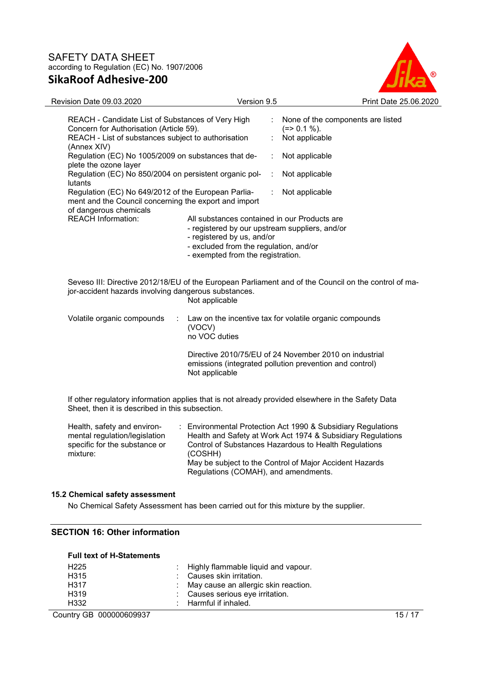

| Revision Date 09.03.2020                                                                                                                                                                                                                                                                                                                                                                                                                                                                       | Version 9.5                                                                                                                                                                                                                                                                                                   | Print Date 25,06,2020             |
|------------------------------------------------------------------------------------------------------------------------------------------------------------------------------------------------------------------------------------------------------------------------------------------------------------------------------------------------------------------------------------------------------------------------------------------------------------------------------------------------|---------------------------------------------------------------------------------------------------------------------------------------------------------------------------------------------------------------------------------------------------------------------------------------------------------------|-----------------------------------|
| REACH - Candidate List of Substances of Very High<br>Concern for Authorisation (Article 59).<br>REACH - List of substances subject to authorisation<br>(Annex XIV)<br>Regulation (EC) No 1005/2009 on substances that de-<br>plete the ozone layer<br>Regulation (EC) No 850/2004 on persistent organic pol-<br>lutants<br>Regulation (EC) No 649/2012 of the European Parlia-<br>ment and the Council concerning the export and import<br>of dangerous chemicals<br><b>REACH Information:</b> | $(=>0.1\%).$<br>Not applicable<br>Not applicable<br>÷<br>Not applicable<br>÷<br>Not applicable<br>All substances contained in our Products are<br>- registered by our upstream suppliers, and/or<br>- registered by us, and/or<br>- excluded from the regulation, and/or<br>- exempted from the registration. | None of the components are listed |
| jor-accident hazards involving dangerous substances.<br>Volatile organic compounds<br>÷                                                                                                                                                                                                                                                                                                                                                                                                        | Seveso III: Directive 2012/18/EU of the European Parliament and of the Council on the control of ma-<br>Not applicable<br>Law on the incentive tax for volatile organic compounds<br>(VOCV)<br>no VOC duties                                                                                                  |                                   |
|                                                                                                                                                                                                                                                                                                                                                                                                                                                                                                | Directive 2010/75/EU of 24 November 2010 on industrial<br>emissions (integrated pollution prevention and control)<br>Not applicable                                                                                                                                                                           |                                   |

If other regulatory information applies that is not already provided elsewhere in the Safety Data Sheet, then it is described in this subsection.

| Health, safety and environ-<br>mental regulation/legislation<br>specific for the substance or<br>mixture: | : Environmental Protection Act 1990 & Subsidiary Regulations<br>Health and Safety at Work Act 1974 & Subsidiary Regulations<br>Control of Substances Hazardous to Health Regulations<br>(COSHH)<br>May be subject to the Control of Major Accident Hazards<br>Regulations (COMAH), and amendments. |
|-----------------------------------------------------------------------------------------------------------|----------------------------------------------------------------------------------------------------------------------------------------------------------------------------------------------------------------------------------------------------------------------------------------------------|
|-----------------------------------------------------------------------------------------------------------|----------------------------------------------------------------------------------------------------------------------------------------------------------------------------------------------------------------------------------------------------------------------------------------------------|

#### **15.2 Chemical safety assessment**

No Chemical Safety Assessment has been carried out for this mixture by the supplier.

#### **SECTION 16: Other information**

#### **Full text of H-Statements**

| H <sub>225</sub>  | : Highly flammable liquid and vapour.  |
|-------------------|----------------------------------------|
| H <sub>315</sub>  | : Causes skin irritation.              |
| H <sub>3</sub> 17 | : May cause an allergic skin reaction. |
| H <sub>319</sub>  | : Causes serious eye irritation.       |
| H332              | : Harmful if inhaled.                  |

Country GB 000000609937 15 / 17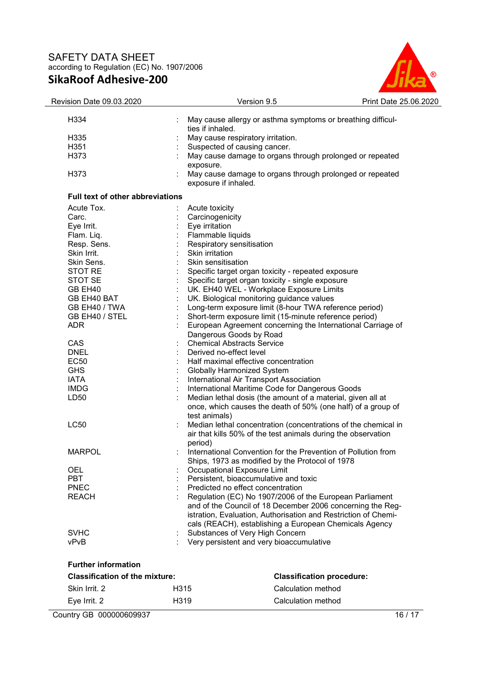

| Revision Date 09.03.2020                |                         | Version 9.5<br>Print Date 25.06.2020                                             |  |  |
|-----------------------------------------|-------------------------|----------------------------------------------------------------------------------|--|--|
| H334                                    |                         | May cause allergy or asthma symptoms or breathing difficul-                      |  |  |
|                                         | ties if inhaled.        |                                                                                  |  |  |
| H <sub>335</sub>                        |                         | May cause respiratory irritation.                                                |  |  |
| H351                                    |                         | Suspected of causing cancer.                                                     |  |  |
| H373                                    |                         | May cause damage to organs through prolonged or repeated                         |  |  |
|                                         | exposure.               |                                                                                  |  |  |
| H373                                    |                         |                                                                                  |  |  |
|                                         |                         | May cause damage to organs through prolonged or repeated<br>exposure if inhaled. |  |  |
| <b>Full text of other abbreviations</b> |                         |                                                                                  |  |  |
| Acute Tox.                              | Acute toxicity          |                                                                                  |  |  |
| Carc.                                   | Carcinogenicity         |                                                                                  |  |  |
| Eye Irrit.                              | Eye irritation          |                                                                                  |  |  |
| Flam. Liq.                              | Flammable liquids       |                                                                                  |  |  |
| Resp. Sens.                             |                         | Respiratory sensitisation                                                        |  |  |
| Skin Irrit.                             | Skin irritation         |                                                                                  |  |  |
| Skin Sens.                              | Skin sensitisation      |                                                                                  |  |  |
| <b>STOT RE</b>                          |                         | Specific target organ toxicity - repeated exposure                               |  |  |
| STOT SE                                 |                         | Specific target organ toxicity - single exposure                                 |  |  |
| GB EH40                                 |                         | UK. EH40 WEL - Workplace Exposure Limits                                         |  |  |
| GB EH40 BAT                             |                         | UK. Biological monitoring guidance values                                        |  |  |
| GB EH40 / TWA                           |                         | Long-term exposure limit (8-hour TWA reference period)                           |  |  |
| GB EH40 / STEL                          |                         | Short-term exposure limit (15-minute reference period)                           |  |  |
| <b>ADR</b>                              |                         | European Agreement concerning the International Carriage of                      |  |  |
|                                         |                         | Dangerous Goods by Road                                                          |  |  |
| CAS                                     |                         | <b>Chemical Abstracts Service</b>                                                |  |  |
| <b>DNEL</b>                             | Derived no-effect level |                                                                                  |  |  |
| <b>EC50</b>                             |                         |                                                                                  |  |  |
| <b>GHS</b>                              |                         | Half maximal effective concentration                                             |  |  |
|                                         |                         | <b>Globally Harmonized System</b>                                                |  |  |
| <b>IATA</b><br><b>IMDG</b>              |                         | International Air Transport Association                                          |  |  |
|                                         |                         | International Maritime Code for Dangerous Goods                                  |  |  |
| LD <sub>50</sub>                        |                         | Median lethal dosis (the amount of a material, given all at                      |  |  |
|                                         |                         | once, which causes the death of 50% (one half) of a group of                     |  |  |
|                                         | test animals)           |                                                                                  |  |  |
| <b>LC50</b>                             |                         | Median lethal concentration (concentrations of the chemical in                   |  |  |
|                                         |                         | air that kills 50% of the test animals during the observation                    |  |  |
|                                         | period)                 |                                                                                  |  |  |
| <b>MARPOL</b>                           |                         | International Convention for the Prevention of Pollution from                    |  |  |
|                                         |                         | Ships, 1973 as modified by the Protocol of 1978                                  |  |  |
| OEL                                     |                         | Occupational Exposure Limit                                                      |  |  |
| <b>PBT</b>                              |                         | Persistent, bioaccumulative and toxic                                            |  |  |
| <b>PNEC</b>                             |                         | Predicted no effect concentration                                                |  |  |
| <b>REACH</b>                            |                         | Regulation (EC) No 1907/2006 of the European Parliament                          |  |  |
|                                         |                         | and of the Council of 18 December 2006 concerning the Reg-                       |  |  |
|                                         |                         | istration, Evaluation, Authorisation and Restriction of Chemi-                   |  |  |
|                                         |                         | cals (REACH), establishing a European Chemicals Agency                           |  |  |
| <b>SVHC</b>                             |                         | Substances of Very High Concern                                                  |  |  |
| vPvB                                    |                         | Very persistent and very bioaccumulative                                         |  |  |
| <b>Further information</b>              |                         |                                                                                  |  |  |
| <b>Classification of the mixture:</b>   |                         | <b>Classification procedure:</b>                                                 |  |  |
| Skin Irrit. 2                           | H315                    | Calculation method                                                               |  |  |
| Eye Irrit. 2                            | H319                    | Calculation method                                                               |  |  |

Country GB 000000609937 16 / 17